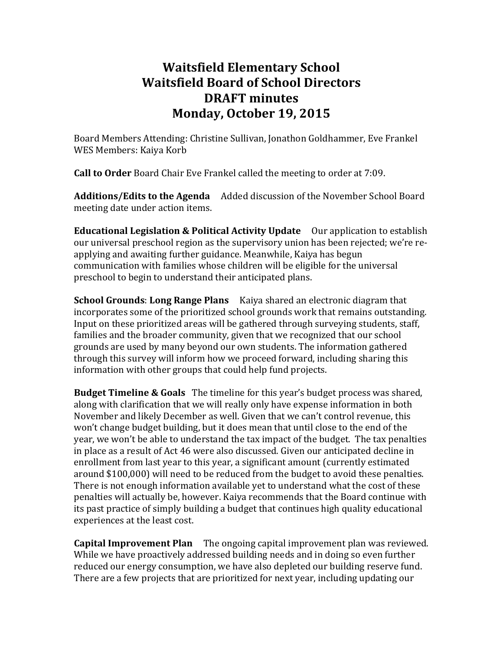## **Waitsfield\*Elementary\*School Waitsfield\*Board\*of\*School\*Directors DRAFT** minutes **Monday, October 19, 2015**

Board Members Attending: Christine Sullivan, Jonathon Goldhammer, Eve Frankel WES Members: Kaiya Korb

**Call to Order** Board Chair Eve Frankel called the meeting to order at 7:09.

Additions/Edits to the Agenda Added discussion of the November School Board meeting date under action items.

**Educational Legislation & Political Activity Update** Our application to establish our universal preschool region as the supervisory union has been rejected; we're reapplying and awaiting further guidance. Meanwhile, Kaiya has begun communication with families whose children will be eligible for the universal preschool to begin to understand their anticipated plans.

**School Grounds: Long Range Plans** Kaiya shared an electronic diagram that incorporates some of the prioritized school grounds work that remains outstanding. Input on these prioritized areas will be gathered through surveying students, staff, families and the broader community, given that we recognized that our school grounds are used by many beyond our own students. The information gathered through this survey will inform how we proceed forward, including sharing this information with other groups that could help fund projects.

**Budget Timeline & Goals** The timeline for this year's budget process was shared, along with clarification that we will really only have expense information in both November and likely December as well. Given that we can't control revenue, this won't change budget building, but it does mean that until close to the end of the year, we won't be able to understand the tax impact of the budget. The tax penalties in place as a result of Act 46 were also discussed. Given our anticipated decline in enrollment from last year to this year, a significant amount (currently estimated around \$100,000) will need to be reduced from the budget to avoid these penalties. There is not enough information available yet to understand what the cost of these penalties will actually be, however. Kaiya recommends that the Board continue with its past practice of simply building a budget that continues high quality educational experiences at the least cost.

**Capital Improvement Plan** The ongoing capital improvement plan was reviewed. While we have proactively addressed building needs and in doing so even further reduced our energy consumption, we have also depleted our building reserve fund. There are a few projects that are prioritized for next year, including updating our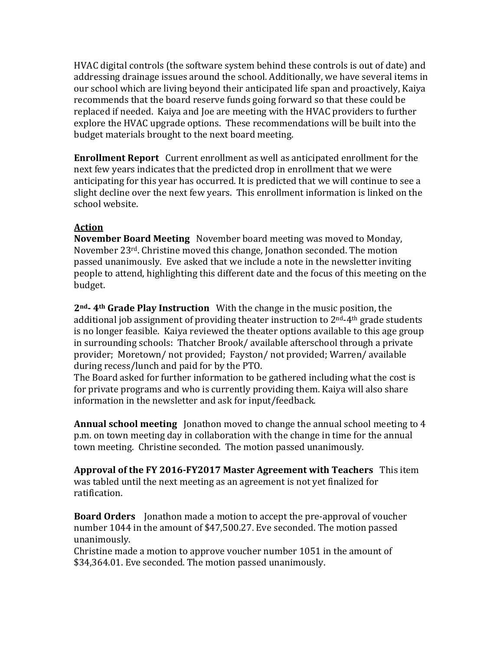HVAC digital controls (the software system behind these controls is out of date) and addressing drainage issues around the school. Additionally, we have several items in our school which are living beyond their anticipated life span and proactively, Kaiya recommends that the board reserve funds going forward so that these could be replaced if needed. Kaiya and Joe are meeting with the HVAC providers to further explore the HVAC upgrade options. These recommendations will be built into the budget materials brought to the next board meeting.

**Enrollment Report** Current enrollment as well as anticipated enrollment for the next few years indicates that the predicted drop in enrollment that we were anticipating for this year has occurred. It is predicted that we will continue to see a slight decline over the next few years. This enrollment information is linked on the school website.

## **Action**

**November Board Meeting** November board meeting was moved to Monday, November 23rd. Christine moved this change, Jonathon seconded. The motion passed unanimously. Eve asked that we include a note in the newsletter inviting people to attend, highlighting this different date and the focus of this meeting on the budget.

2<sup>nd</sup>- 4<sup>th</sup> Grade Play Instruction With the change in the music position, the additional job assignment of providing theater instruction to  $2^{nd}$ -4<sup>th</sup> grade students is no longer feasible. Kaiya reviewed the theater options available to this age group in surrounding schools: Thatcher Brook/available afterschool through a private provider; Moretown/ not provided; Fayston/ not provided; Warren/ available during recess/lunch and paid for by the PTO.

The Board asked for further information to be gathered including what the cost is for private programs and who is currently providing them. Kaiya will also share information in the newsletter and ask for input/feedback.

**Annual school meeting** Jonathon moved to change the annual school meeting to 4 p.m. on town meeting day in collaboration with the change in time for the annual town meeting. Christine seconded. The motion passed unanimously.

Approval of the FY 2016-FY2017 Master Agreement with Teachers This item was tabled until the next meeting as an agreement is not yet finalized for ratification.&

**Board Orders** Jonathon made a motion to accept the pre-approval of voucher number 1044 in the amount of \$47,500.27. Eve seconded. The motion passed unanimously.

Christine made a motion to approve voucher number 1051 in the amount of \$34,364.01. Eve seconded. The motion passed unanimously.